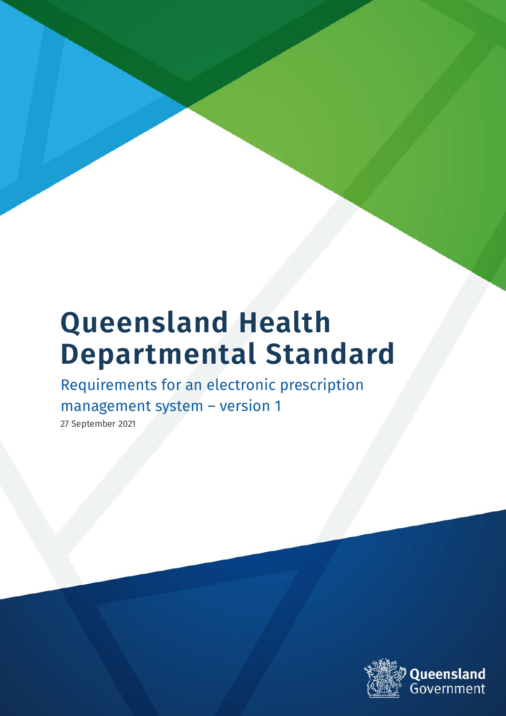# **Queensland Health Departmental Standard**

Requirements for an electronic prescription management system – version 1

27 September 2021

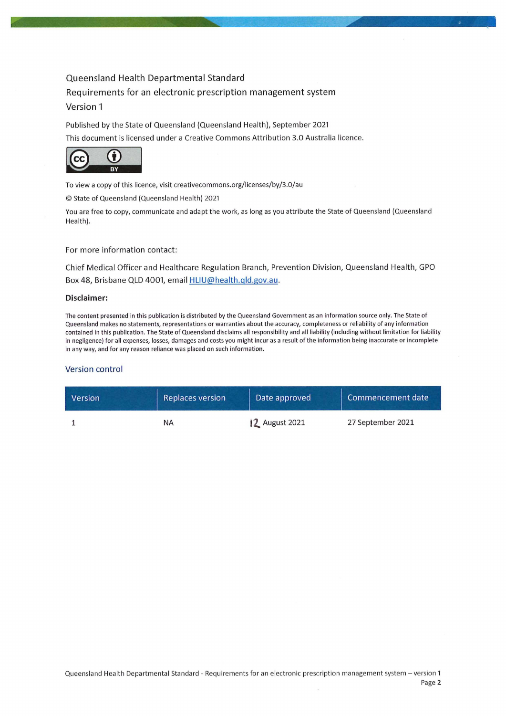### Queensland Health Departmental Standard Requirements for an electronic prescription management system Version 1

Published by the State of Queensland (Queensland Health), September 2021 This document is licensed under a Creative Commons Attribution 3.0 Australia licence.



To view a copy of this licence, visit creativecommons.org/licenses/by/3.0/au

© State of Queensland (Queensland Health) 2021

You are free to copy, communicate and adapt the work, as long as you attribute the State of Queensland (Queensland Health).

For more information contact:

Chief Medical Officer and Healthcare Regulation Branch, Prevention Division, Queensland Health, GPO Box 48, Brisbane QLD 4001, email HLIU@health.qld.gov.au.

#### Disclaimer:

The content presented in this publication is distributed by the Queensland Government as an information source only. The State of Queensland makes no statements, representations or warranties about the accuracy, completeness or reliability of any information contained in this publication. The State of Queensland disclaims all responsibility and all liability (including without limitation for liability in negligence) for all expenses, losses, damages and costs you might incur as a result of the information being inaccurate or incomplete in any way, and for any reason reliance was placed on such information.

#### Version control

| <b>Version</b> | <b>Replaces version</b> | Date approved  | Commencement date |
|----------------|-------------------------|----------------|-------------------|
|                | ΝA                      | 12 August 2021 | 27 September 2021 |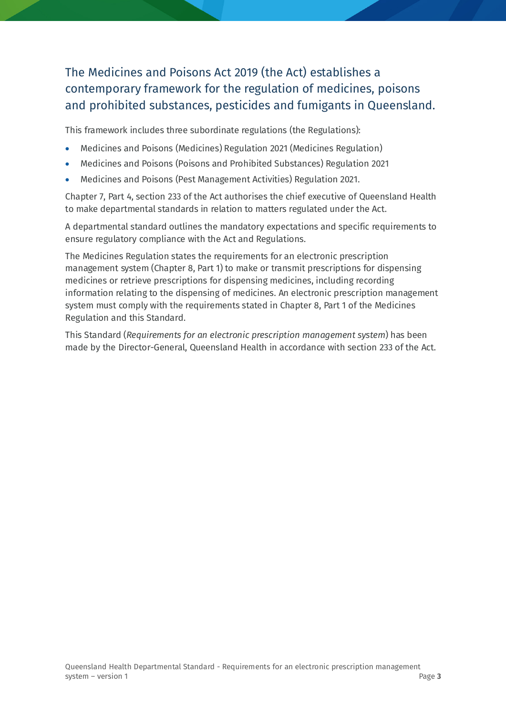### The Medicines and Poisons Act 2019 (the Act) establishes a contemporary framework for the regulation of medicines, poisons and prohibited substances, pesticides and fumigants in Queensland.

This framework includes three subordinate regulations (the Regulations):

- Medicines and Poisons (Medicines) Regulation 2021 (Medicines Regulation)
- Medicines and Poisons (Poisons and Prohibited Substances) Regulation 2021
- Medicines and Poisons (Pest Management Activities) Regulation 2021.

Chapter 7, Part 4, section 233 of the Act authorises the chief executive of Queensland Health to make departmental standards in relation to matters regulated under the Act.

A departmental standard outlines the mandatory expectations and specific requirements to ensure regulatory compliance with the Act and Regulations.

The Medicines Regulation states the requirements for an electronic prescription management system (Chapter 8, Part 1) to make or transmit prescriptions for dispensing medicines or retrieve prescriptions for dispensing medicines, including recording information relating to the dispensing of medicines. An electronic prescription management system must comply with the requirements stated in Chapter 8, Part 1 of the Medicines Regulation and this Standard.

This Standard (*Requirements for an electronic prescription management system*) has been made by the Director-General, Queensland Health in accordance with section 233 of the Act.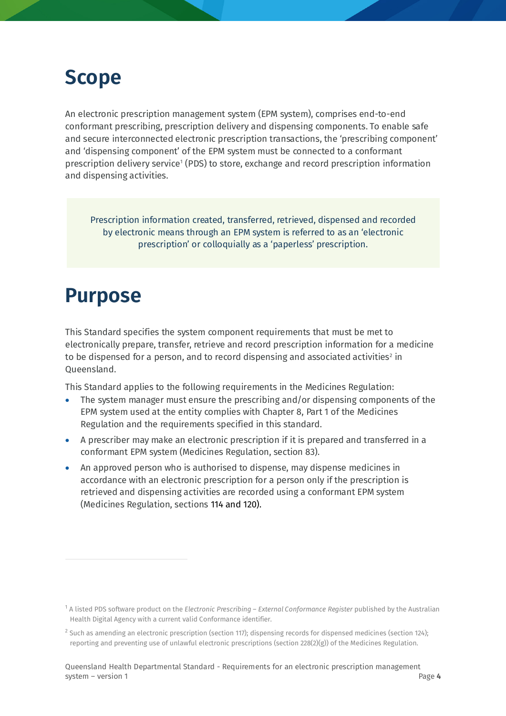## **Scope**

An electronic prescription management system (EPM system), comprises end-to-end conformant prescribing, prescription delivery and dispensing components. To enable safe and secure interconnected electronic prescription transactions, the 'prescribing component' and 'dispensing component' of the EPM system must be connected to a conformant prescription delivery service[1](#page-3-0) (PDS) to store, exchange and record prescription information and dispensing activities.

Prescription information created, transferred, retrieved, dispensed and recorded by electronic means through an EPM system is referred to as an 'electronic prescription' or colloquially as a 'paperless' prescription.

## **Purpose**

This Standard specifies the system component requirements that must be met to electronically prepare, transfer, retrieve and record prescription information for a medicine to be dispensed for a person, and to record dispensing and associated activities<sup>[2](#page-3-1)</sup> in Queensland.

This Standard applies to the following requirements in the Medicines Regulation:

- The system manager must ensure the prescribing and/or dispensing components of the EPM system used at the entity complies with Chapter 8, Part 1 of the Medicines Regulation and the requirements specified in this standard.
- A prescriber may make an electronic prescription if it is prepared and transferred in a conformant EPM system (Medicines Regulation, section 83).
- An approved person who is authorised to dispense, may dispense medicines in accordance with an electronic prescription for a person only if the prescription is retrieved and dispensing activities are recorded using a conformant EPM system (Medicines Regulation, sections 114 and 120).

<span id="page-3-0"></span><sup>1</sup> A listed PDS software product on the *Electronic Prescribing – External Conformance Register* published by the Australian Health Digital Agency with a current valid Conformance identifier.

<span id="page-3-1"></span><sup>&</sup>lt;sup>2</sup> Such as amending an electronic prescription (section 117); dispensing records for dispensed medicines (section 124); reporting and preventing use of unlawful electronic prescriptions (section 228(2)(g)) of the Medicines Regulation.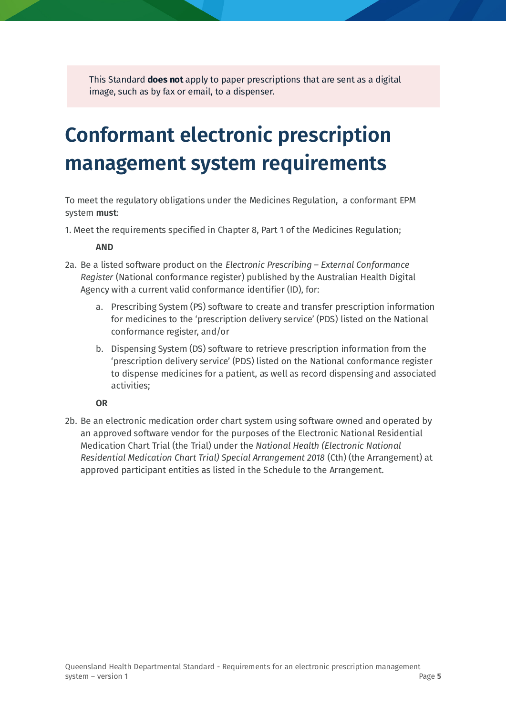This Standard **does not** apply to paper prescriptions that are sent as a digital image, such as by fax or email, to a dispenser.

# **Conformant electronic prescription management system requirements**

To meet the regulatory obligations under the Medicines Regulation, a conformant EPM system **must**:

1. Meet the requirements specified in Chapter 8, Part 1 of the Medicines Regulation;

**AND** 

- 2a. Be a listed software product on the *Electronic Prescribing – External Conformance Register* (National conformance register) published by the Australian Health Digital Agency with a current valid conformance identifier (ID), for:
	- a. Prescribing System (PS) software to create and transfer prescription information for medicines to the 'prescription delivery service' (PDS) listed on the National conformance register, and/or
	- b. Dispensing System (DS) software to retrieve prescription information from the 'prescription delivery service' (PDS) listed on the National conformance register to dispense medicines for a patient, as well as record dispensing and associated activities;

**OR**

2b. Be an electronic medication order chart system using software owned and operated by an approved software vendor for the purposes of the Electronic National Residential Medication Chart Trial (the Trial) under the *National Health (Electronic National Residential Medication Chart Trial) Special Arrangement 2018* (Cth) (the Arrangement) at approved participant entities as listed in the Schedule to the Arrangement.